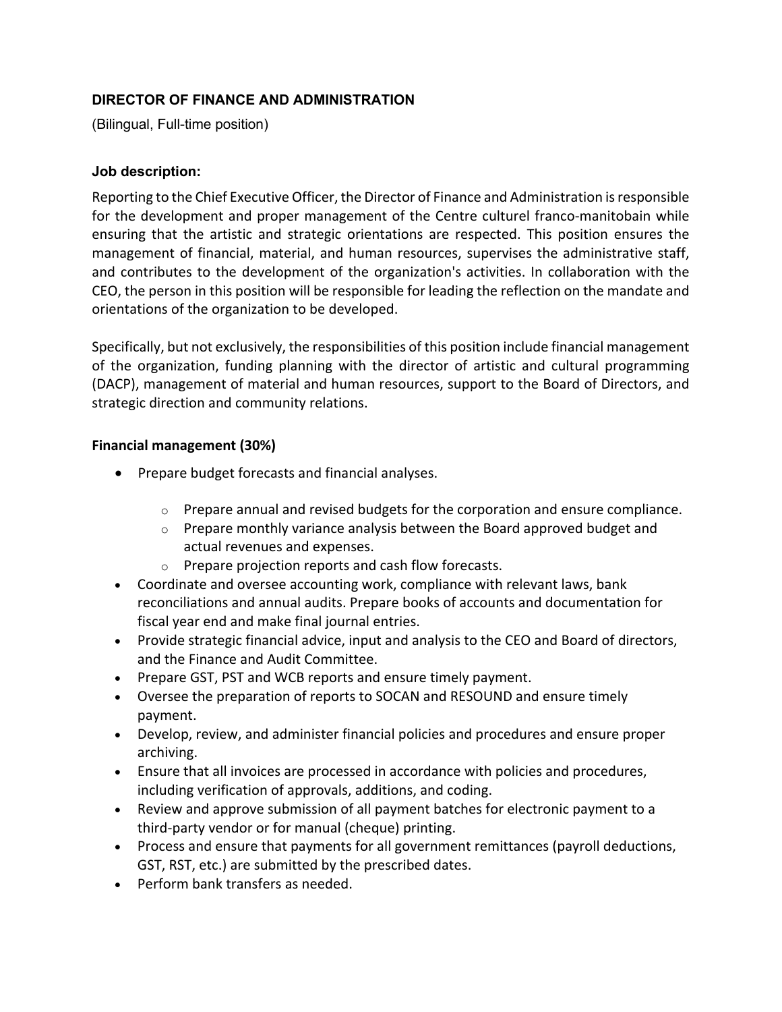# **DIRECTOR OF FINANCE AND ADMINISTRATION**

(Bilingual, Full-time position)

#### **Job description:**

Reporting to the Chief Executive Officer, the Director of Finance and Administration is responsible for the development and proper management of the Centre culturel franco-manitobain while ensuring that the artistic and strategic orientations are respected. This position ensures the management of financial, material, and human resources, supervises the administrative staff, and contributes to the development of the organization's activities. In collaboration with the CEO, the person in this position will be responsible for leading the reflection on the mandate and orientations of the organization to be developed.

Specifically, but not exclusively, the responsibilities of this position include financial management of the organization, funding planning with the director of artistic and cultural programming (DACP), management of material and human resources, support to the Board of Directors, and strategic direction and community relations.

#### **Financial management (30%)**

- Prepare budget forecasts and financial analyses.
	- $\circ$  Prepare annual and revised budgets for the corporation and ensure compliance.
	- $\circ$  Prepare monthly variance analysis between the Board approved budget and actual revenues and expenses.
	- o Prepare projection reports and cash flow forecasts.
- Coordinate and oversee accounting work, compliance with relevant laws, bank reconciliations and annual audits. Prepare books of accounts and documentation for fiscal year end and make final journal entries.
- Provide strategic financial advice, input and analysis to the CEO and Board of directors, and the Finance and Audit Committee.
- Prepare GST, PST and WCB reports and ensure timely payment.
- Oversee the preparation of reports to SOCAN and RESOUND and ensure timely payment.
- Develop, review, and administer financial policies and procedures and ensure proper archiving.
- Ensure that all invoices are processed in accordance with policies and procedures, including verification of approvals, additions, and coding.
- Review and approve submission of all payment batches for electronic payment to a third-party vendor or for manual (cheque) printing.
- Process and ensure that payments for all government remittances (payroll deductions, GST, RST, etc.) are submitted by the prescribed dates.
- Perform bank transfers as needed.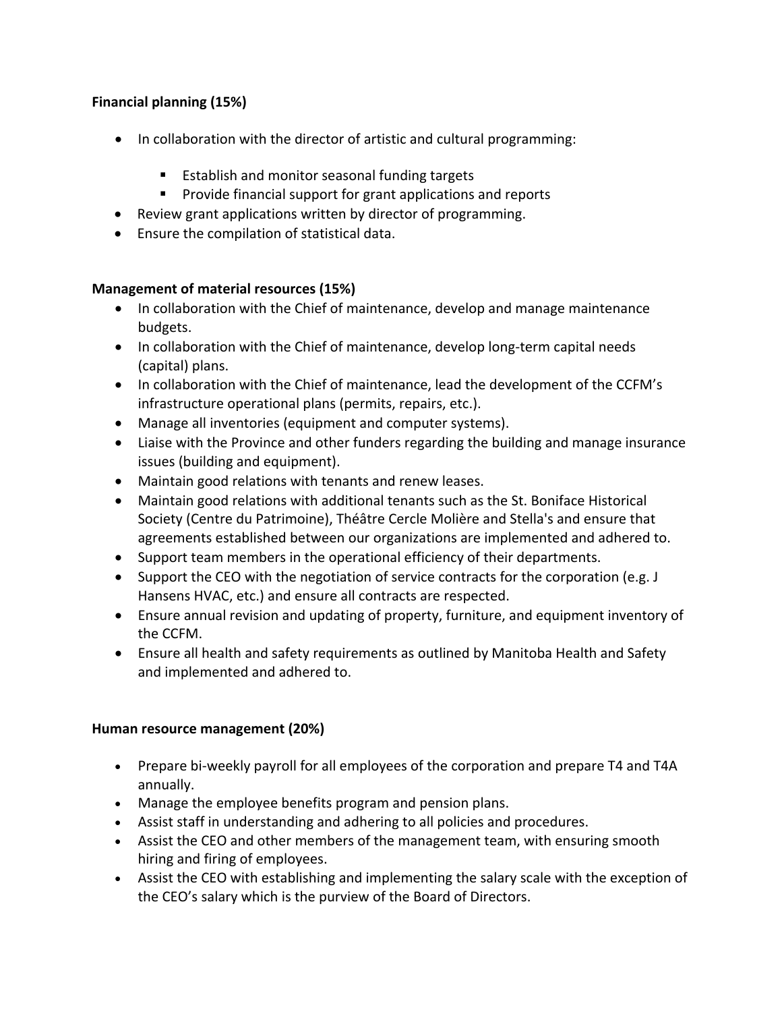# **Financial planning (15%)**

- In collaboration with the director of artistic and cultural programming:
	- Establish and monitor seasonal funding targets
	- Provide financial support for grant applications and reports
- Review grant applications written by director of programming.
- Ensure the compilation of statistical data.

### **Management of material resources (15%)**

- In collaboration with the Chief of maintenance, develop and manage maintenance budgets.
- In collaboration with the Chief of maintenance, develop long-term capital needs (capital) plans.
- In collaboration with the Chief of maintenance, lead the development of the CCFM's infrastructure operational plans (permits, repairs, etc.).
- Manage all inventories (equipment and computer systems).
- Liaise with the Province and other funders regarding the building and manage insurance issues (building and equipment).
- Maintain good relations with tenants and renew leases.
- Maintain good relations with additional tenants such as the St. Boniface Historical Society (Centre du Patrimoine), Théâtre Cercle Molière and Stella's and ensure that agreements established between our organizations are implemented and adhered to.
- Support team members in the operational efficiency of their departments.
- Support the CEO with the negotiation of service contracts for the corporation (e.g. J Hansens HVAC, etc.) and ensure all contracts are respected.
- Ensure annual revision and updating of property, furniture, and equipment inventory of the CCFM.
- Ensure all health and safety requirements as outlined by Manitoba Health and Safety and implemented and adhered to.

### **Human resource management (20%)**

- Prepare bi-weekly payroll for all employees of the corporation and prepare T4 and T4A annually.
- Manage the employee benefits program and pension plans.
- Assist staff in understanding and adhering to all policies and procedures.
- Assist the CEO and other members of the management team, with ensuring smooth hiring and firing of employees.
- Assist the CEO with establishing and implementing the salary scale with the exception of the CEO's salary which is the purview of the Board of Directors.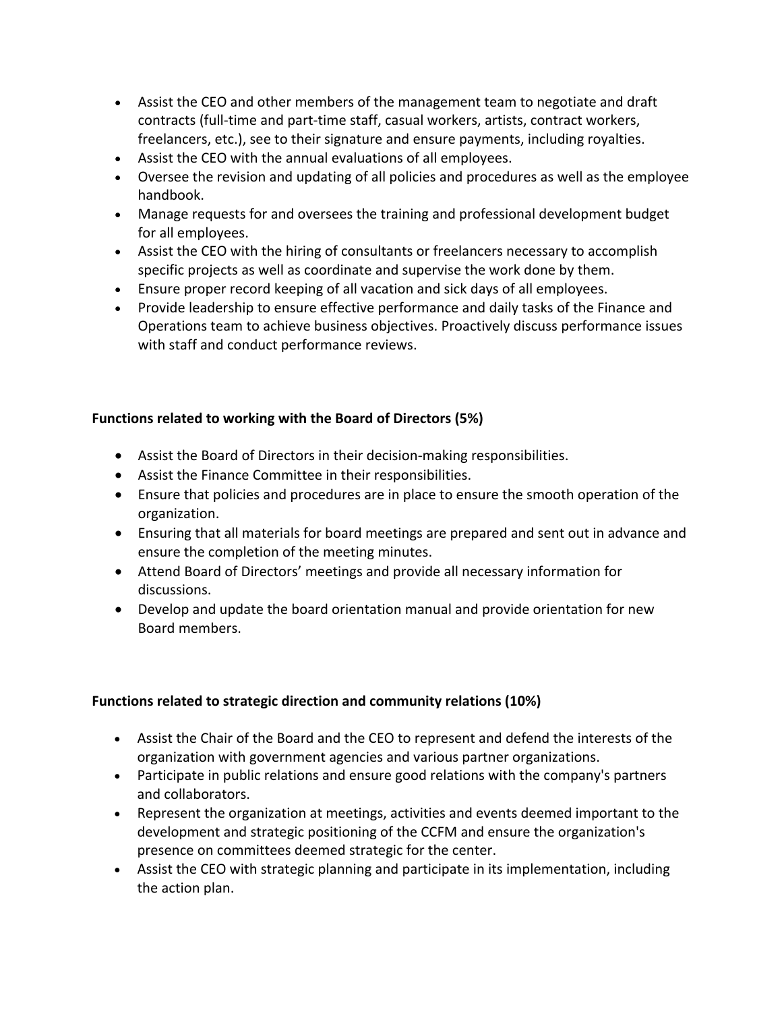- Assist the CEO and other members of the management team to negotiate and draft contracts (full-time and part-time staff, casual workers, artists, contract workers, freelancers, etc.), see to their signature and ensure payments, including royalties.
- Assist the CEO with the annual evaluations of all employees.
- Oversee the revision and updating of all policies and procedures as well as the employee handbook.
- Manage requests for and oversees the training and professional development budget for all employees.
- Assist the CEO with the hiring of consultants or freelancers necessary to accomplish specific projects as well as coordinate and supervise the work done by them.
- Ensure proper record keeping of all vacation and sick days of all employees.
- Provide leadership to ensure effective performance and daily tasks of the Finance and Operations team to achieve business objectives. Proactively discuss performance issues with staff and conduct performance reviews.

# **Functions related to working with the Board of Directors (5%)**

- Assist the Board of Directors in their decision-making responsibilities.
- Assist the Finance Committee in their responsibilities.
- Ensure that policies and procedures are in place to ensure the smooth operation of the organization.
- Ensuring that all materials for board meetings are prepared and sent out in advance and ensure the completion of the meeting minutes.
- Attend Board of Directors' meetings and provide all necessary information for discussions.
- Develop and update the board orientation manual and provide orientation for new Board members.

### **Functions related to strategic direction and community relations (10%)**

- Assist the Chair of the Board and the CEO to represent and defend the interests of the organization with government agencies and various partner organizations.
- Participate in public relations and ensure good relations with the company's partners and collaborators.
- Represent the organization at meetings, activities and events deemed important to the development and strategic positioning of the CCFM and ensure the organization's presence on committees deemed strategic for the center.
- Assist the CEO with strategic planning and participate in its implementation, including the action plan.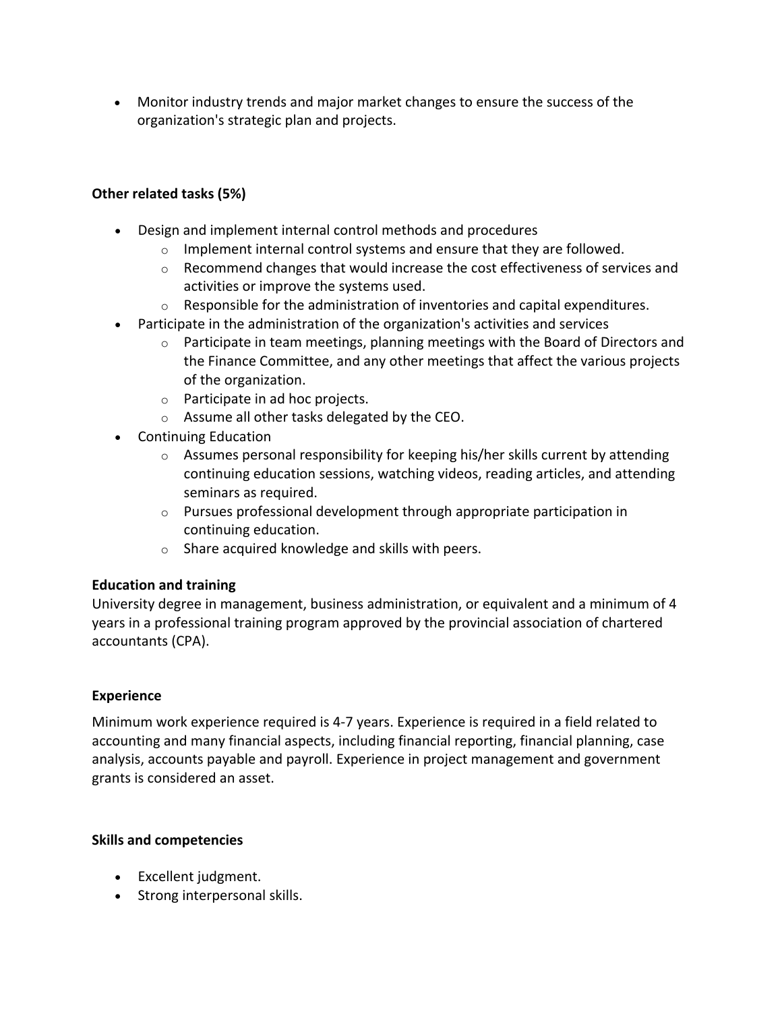• Monitor industry trends and major market changes to ensure the success of the organization's strategic plan and projects.

## **Other related tasks (5%)**

- Design and implement internal control methods and procedures
	- $\circ$  Implement internal control systems and ensure that they are followed.
	- o Recommend changes that would increase the cost effectiveness of services and activities or improve the systems used.
	- $\circ$  Responsible for the administration of inventories and capital expenditures.
- Participate in the administration of the organization's activities and services
	- $\circ$  Participate in team meetings, planning meetings with the Board of Directors and the Finance Committee, and any other meetings that affect the various projects of the organization.
	- o Participate in ad hoc projects.
	- o Assume all other tasks delegated by the CEO.
- Continuing Education
	- $\circ$  Assumes personal responsibility for keeping his/her skills current by attending continuing education sessions, watching videos, reading articles, and attending seminars as required.
	- o Pursues professional development through appropriate participation in continuing education.
	- o Share acquired knowledge and skills with peers.

### **Education and training**

University degree in management, business administration, or equivalent and a minimum of 4 years in a professional training program approved by the provincial association of chartered accountants (CPA).

### **Experience**

Minimum work experience required is 4-7 years. Experience is required in a field related to accounting and many financial aspects, including financial reporting, financial planning, case analysis, accounts payable and payroll. Experience in project management and government grants is considered an asset.

### **Skills and competencies**

- Excellent judgment.
- Strong interpersonal skills.